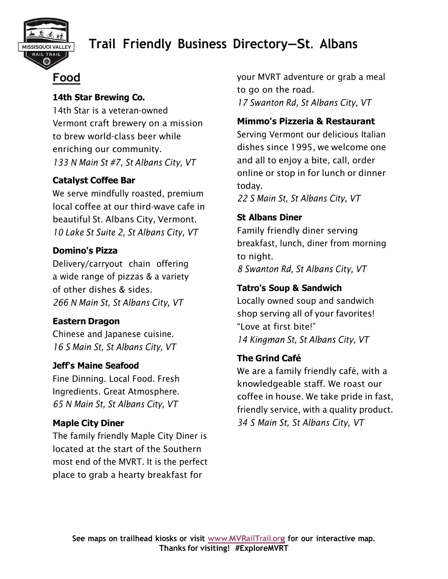

## **Trail Friendly Business Directory—St. Albans**

## **Food**

#### **14th Star Brewing Co.**

14th Star is a veteran-owned Vermont craft brewery on a mission to brew world-class beer while enriching our community. *133 N Main St #7, St Albans City, VT* 

#### **Catalyst Coffee Bar**

We serve mindfully roasted, premium local coffee at our third-wave cafe in beautiful St. Albans City, Vermont. *10 Lake St Suite 2, St Albans City, VT* 

#### **Domino's Pizza**

Delivery/carryout chain offering a wide range of pizzas & a variety of other dishes & sides. *266 N Main St, St Albans City, VT* 

#### **Eastern Dragon**

Chinese and Japanese cuisine. *16 S Main St, St Albans City, VT*

#### **Jeff's Maine Seafood**

Fine Dinning. Local Food. Fresh Ingredients. Great Atmosphere. *65 N Main St, St Albans City, VT*

#### **Maple City Diner**

The family friendly Maple City Diner is located at the start of the Southern most end of the MVRT. It is the perfect place to grab a hearty breakfast for

your MVRT adventure or grab a meal to go on the road. *17 Swanton Rd, St Albans City, VT*

#### **Mimmo's Pizzeria & Restaurant**

Serving Vermont our delicious Italian dishes since 1995, we welcome one and all to enjoy a bite, call, order online or stop in for lunch or dinner today.

*22 S Main St, St Albans City, VT*

#### **St Albans Diner**

Family friendly diner serving breakfast, lunch, diner from morning to night. *8 Swanton Rd, St Albans City, VT*

#### **Tatro's Soup & Sandwich**

Locally owned soup and sandwich shop serving all of your favorites! "Love at first bite!" *14 Kingman St, St Albans City, VT* 

#### **The Grind Café**

We are a family friendly café, with a knowledgeable staff. We roast our coffee in house. We take pride in fast, friendly service, with a quality product. *34 S Main St, St Albans City, VT*